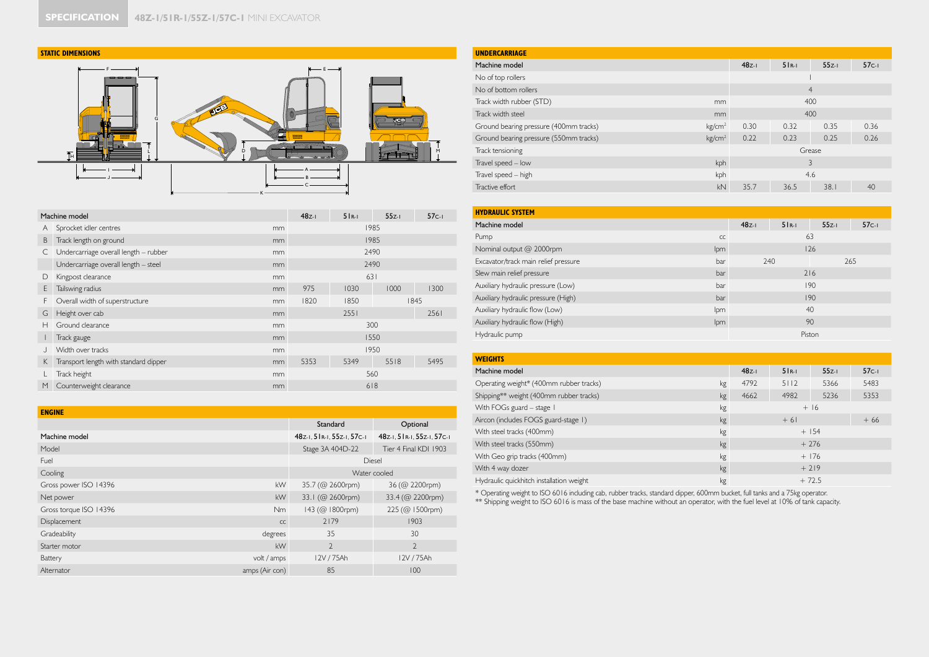## **STATIC DIMENSIONS**



|    | Machine model                         |    | $48z-1$ | $5R-1$ | $55z-1$ | $57c-1$ |
|----|---------------------------------------|----|---------|--------|---------|---------|
| Α  | Sprocket idler centres                | mm |         |        | 1985    |         |
| B  | Track length on ground                | mm |         |        | 1985    |         |
| С  | Undercarriage overall length - rubber | mm |         |        | 2490    |         |
|    | Undercarriage overall length - steel  | mm |         |        | 2490    |         |
| D  | Kingpost clearance                    | mm |         | 631    |         |         |
| E  | Tailswing radius                      | mm | 975     | 1030   | 1000    | 1300    |
| F. | Overall width of superstructure       | mm | 1820    | 1850   |         | 1845    |
| G  | Height over cab                       | mm |         | 2551   |         | 2561    |
| н  | Ground clearance                      | mm |         |        | 300     |         |
|    | Track gauge                           | mm |         |        | 1550    |         |
|    | Width over tracks                     | mm |         |        | 1950    |         |
| K  | Transport length with standard dipper | mm | 5353    | 5349   | 5518    | 5495    |
|    | Track height                          | mm |         |        | 560     |         |
| M  | Counterweight clearance               | mm |         |        | 618     |         |

| <b>ENGINE</b>          |                |                            |                            |
|------------------------|----------------|----------------------------|----------------------------|
|                        |                | Standard                   | Optional                   |
| Machine model          |                | 48z-1, 51R-1, 55z-1, 57c-1 | 48z-1, 51R-1, 55z-1, 57c-1 |
| Model                  |                | Stage 3A 404D-22           | Tier 4 Final KDI 1903      |
| Fuel                   |                | Diesel                     |                            |
| Cooling                |                | Water cooled               |                            |
| Gross power ISO 14396  | kW             | 35.7 (@ 2600rpm)           | 36 (@ 2200rpm)             |
| Net power              | <b>kW</b>      | 33.1 (@ 2600rpm)           | 33.4 (@ 2200rpm)           |
| Gross torque ISO 14396 | N <sub>m</sub> | 143 (@ 1800rpm)            | 225 (@ 1500rpm)            |
| Displacement           | CC             | 2179                       | 1903                       |
| Gradeability           | degrees        | 35                         | 30                         |
| Starter motor          | kW             | $\overline{2}$             | $\mathfrak{D}$             |
| Battery                | volt / amps    | 12V / 75Ah                 | 12V / 75Ah                 |
| Alternator             | amps (Air con) | 85                         | 100                        |
|                        |                |                            |                            |

| <b>UNDERCARRIAGE</b>                   |                    |         |                |         |         |  |  |  |  |
|----------------------------------------|--------------------|---------|----------------|---------|---------|--|--|--|--|
| Machine model                          |                    | $48z-1$ | $5R-1$         | $55z-1$ | $57c-1$ |  |  |  |  |
| No of top rollers                      |                    |         |                |         |         |  |  |  |  |
| No of bottom rollers                   |                    |         | $\overline{4}$ |         |         |  |  |  |  |
| Track width rubber (STD)               | mm                 | 400     |                |         |         |  |  |  |  |
| Track width steel                      | mm                 |         |                |         |         |  |  |  |  |
| Ground bearing pressure (400mm tracks) | kg/cm <sup>2</sup> | 0.30    | 0.35<br>0.32   |         |         |  |  |  |  |
| Ground bearing pressure (550mm tracks) | kg/cm <sup>2</sup> | 0.22    | 0.26           |         |         |  |  |  |  |
| Track tensioning                       |                    |         | Grease         |         |         |  |  |  |  |
| Travel speed - low                     | kph                |         | 3              |         |         |  |  |  |  |
| Travel speed - high                    | kph                |         |                | 4.6     |         |  |  |  |  |
| Tractive effort                        | kN                 | 35.7    | 36.5           | 38.1    | 40      |  |  |  |  |

| <b>HYDRAULIC SYSTEM</b>              |            |         |        |         |         |
|--------------------------------------|------------|---------|--------|---------|---------|
| Machine model                        |            | $48z-1$ | $5R-1$ | $55z-1$ | $57c-1$ |
| Pump                                 | CC         |         | 63     |         |         |
| Nominal output @ 2000rpm             | <b>lpm</b> |         |        | 126     |         |
| Excavator/track main relief pressure | bar        | 240     |        |         | 265     |
| Slew main relief pressure            | bar        |         | 216    |         |         |
| Auxiliary hydraulic pressure (Low)   | bar        |         |        | 190     |         |
| Auxiliary hydraulic pressure (High)  | bar        |         |        | 190     |         |
| Auxiliary hydraulic flow (Low)       | lpm        |         |        | 40      |         |
| Auxiliary hydraulic flow (High)      | lpm        |         |        | 90      |         |
| Hydraulic pump                       |            |         |        | Piston  |         |

| <b>WEIGHTS</b>                           |    |         |        |          |         |  |  |
|------------------------------------------|----|---------|--------|----------|---------|--|--|
| Machine model                            |    | $48z-1$ | $5R-1$ | $55z-1$  | $57c-1$ |  |  |
| Operating weight* (400mm rubber tracks)  | kg | 4792    | 5112   | 5366     | 5483    |  |  |
| Shipping** weight (400mm rubber tracks)  | kg | 4662    | 4982   | 5236     | 5353    |  |  |
| With FOGs guard - stage 1                | kg |         |        | $+16$    |         |  |  |
| Aircon (includes FOGS guard-stage 1)     | kg |         | $+61$  |          |         |  |  |
| With steel tracks (400mm)                | kg |         |        | $+$ 1.54 |         |  |  |
| With steel tracks (550mm)                | kg |         |        | $+276$   |         |  |  |
| With Geo grip tracks (400mm)             | kg |         |        | $+176$   |         |  |  |
| With 4 way dozer                         | kg |         |        | $+219$   |         |  |  |
| Hydraulic quickhitch installation weight | kg |         |        | $+72.5$  |         |  |  |

\* Operating weight to ISO 6016 including cab, rubber tracks, standard dipper, 600mm bucket, full tanks and a 75kg operator.<br>\*\* Shipping weight to ISO 6016 is mass of the base machine without an operator, with the fuel leve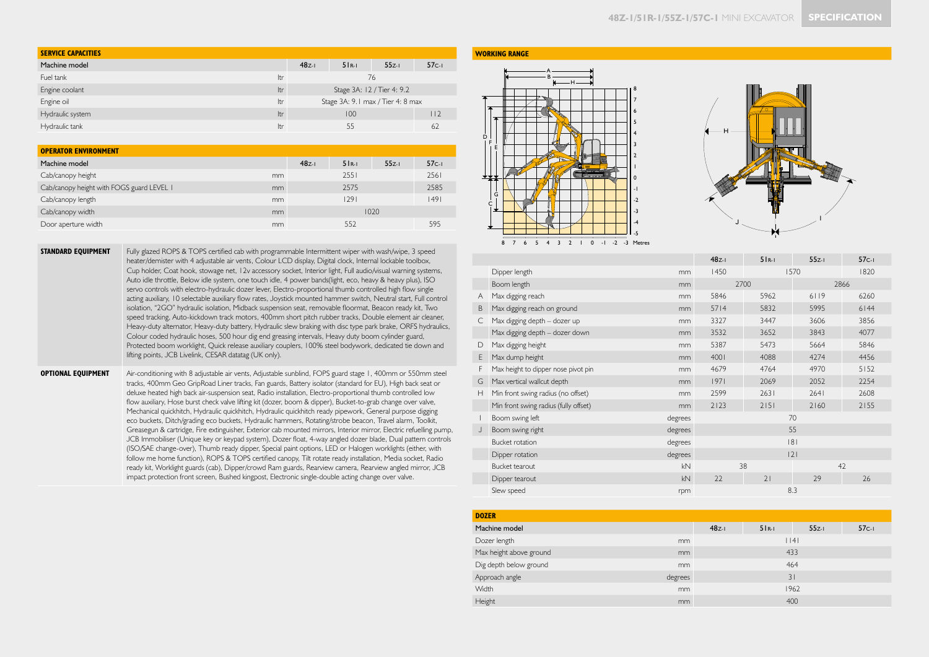| <b>SERVICE CAPACITIES</b> |            |                                   |                            |         |    |  |  |  |
|---------------------------|------------|-----------------------------------|----------------------------|---------|----|--|--|--|
| Machine model             | $48z-1$    | $5R-1$                            | $55z-1$                    | $57c-1$ |    |  |  |  |
| Fuel tank                 | <b>Itr</b> |                                   |                            | 76      |    |  |  |  |
| Engine coolant            | Itr        |                                   | Stage 3A: 12 / Tier 4: 9.2 |         |    |  |  |  |
| Engine oil                | Itr        | Stage 3A: 9.1 max / Tier 4: 8 max |                            |         |    |  |  |  |
| Hydraulic system          | ltr        |                                   | l 12                       |         |    |  |  |  |
| Hydraulic tank            | ltr        |                                   | 55                         |         | 62 |  |  |  |

| <b>OPERATOR ENVIRONMENT</b>               |               |         |        |         |         |
|-------------------------------------------|---------------|---------|--------|---------|---------|
| Machine model                             |               | $48z-1$ | $5R-1$ | $55z-1$ | $57c-1$ |
| Cab/canopy height                         | <sub>mm</sub> |         | 2551   |         | 2561    |
| Cab/canopy height with FOGS guard LEVEL I | mm            |         | 2575   |         | 2585    |
| Cab/canopy length                         | <sub>mm</sub> |         | 1291   |         | 49      |
| Cab/canopy width                          | mm            |         |        | 1020    |         |
| Door aperture width                       | mm            |         | 552    |         | 595     |

**STANDARD EQUIPMENT** Fully glazed ROPS & TOPS certified cab with programmable Intermittent wiper with wash/wipe, 3 speed heater/demister with 4 adjustable air vents, Colour LCD display, Digital clock, Internal lockable toolbox, Cup holder, Coat hook, stowage net, 12v accessory socket, Interior light, Full audio/visual warning systems, Auto idle throttle, Below idle system, one touch idle, 4 power bands(light, eco, heavy & heavy plus), ISO servo controls with electro-hydraulic dozer lever, Electro-proportional thumb controlled high flow single acting auxiliary, 10 selectable auxiliary flow rates, Joystick mounted hammer switch, Neutral start, Full control isolation, "2GO" hydraulic isolation, Midback suspension seat, removable floormat, Beacon ready kit, Two speed tracking, Auto-kickdown track motors, 400mm short pitch rubber tracks, Double element air cleaner, Heavy-duty alternator, Heavy-duty battery, Hydraulic slew braking with disc type park brake, ORFS hydraulics, Colour coded hydraulic hoses, 500 hour dig end greasing intervals, Heavy duty boom cylinder guard, Protected boom worklight, Quick release auxiliary couplers, 100% steel bodywork, dedicated tie down and lifting points, JCB Livelink, CESAR datatag (UK only).

**OPTIONAL EQUIPMENT** Air-conditioning with 8 adjustable air vents, Adjustable sunblind, FOPS guard stage 1, 400mm or 550mm steel tracks, 400mm Geo GripRoad Liner tracks, Fan guards, Battery isolator (standard for EU), High back seat or deluxe heated high back air-suspension seat, Radio installation, Electro-proportional thumb controlled low flow auxiliary, Hose burst check valve lifting kit (dozer, boom & dipper), Bucket-to-grab change over valve, Mechanical quickhitch, Hydraulic quickhitch, Hydraulic quickhitch ready pipework, General purpose digging eco buckets, Ditch/grading eco buckets, Hydraulic hammers, Rotating/strobe beacon, Travel alarm, Toolkit, Greasegun & cartridge, Fire extinguisher, Exterior cab mounted mirrors, Interior mirror, Electric refuelling pump, JCB Immobiliser (Unique key or keypad system), Dozer float, 4-way angled dozer blade, Dual pattern controls (ISO/SAE change-over), Thumb ready dipper, Special paint options, LED or Halogen worklights (either, with follow me home function), ROPS & TOPS certified canopy, Tilt rotate ready installation, Media socket, Radio ready kit, Worklight guards (cab), Dipper/crowd Ram guards, Rearview camera, Rearview angled mirror, JCB impact protection front screen, Bushed kingpost, Electronic single-double acting change over valve.

## **WORKING RANGE**





|              |                                       |         | $48z-1$ | $5R-1$ | $55z-1$ | $57c-1$ |
|--------------|---------------------------------------|---------|---------|--------|---------|---------|
|              | Dipper length                         | mm      | 1450    |        | 1570    | 1820    |
|              | Boom length                           | mm      |         | 2700   |         | 2866    |
| Α            | Max digging reach                     | mm      | 5846    | 5962   | 6119    | 6260    |
| B            | Max digging reach on ground           | mm      | 5714    | 5832   | 5995    | $6144$  |
| С            | Max digging depth - dozer up          | mm      | 3327    | 3447   | 3606    | 3856    |
|              | Max digging depth - dozer down        | mm      | 3532    | 3652   | 3843    | 4077    |
| D            | Max digging height                    | mm      | 5387    | 5473   | 5664    | 5846    |
| E            | Max dump height                       | mm      | 4001    | 4088   | 4274    | 4456    |
| F            | Max height to dipper nose pivot pin   | mm      | 4679    | 4764   | 4970    | $5152$  |
| G            | Max vertical wallcut depth            | mm      | 97      | 2069   | 2052    | 2254    |
| Н            | Min front swing radius (no offset)    | mm      | 2599    | 2631   | 2641    | 2608    |
|              | Min front swing radius (fully offset) | mm      | 2123    | 2151   | 2160    | 2155    |
| $\mathbf{I}$ | Boom swing left                       | degrees |         |        | 70      |         |
| J            | Boom swing right                      | degrees |         |        | 55      |         |
|              | Bucket rotation                       | degrees |         |        | 8       |         |
|              | Dipper rotation                       | degrees |         |        | 2       |         |
|              | Bucket tearout                        | kN      |         | 38     |         | 42      |
|              | Dipper tearout                        | kN      | 22      | 21     | 29      | 26      |
|              | Slew speed                            | rpm     |         |        | 8.3     |         |
|              |                                       |         |         |        |         |         |
|              |                                       |         |         |        |         |         |

| <b>DOZER</b>                  |         |        |         |         |  |  |  |  |
|-------------------------------|---------|--------|---------|---------|--|--|--|--|
| Machine model                 | $48z-1$ | $5R-1$ | $55z-1$ | $57c-1$ |  |  |  |  |
| Dozer length<br>mm            |         |        | $ $  4  |         |  |  |  |  |
| Max height above ground<br>mm |         | 433    |         |         |  |  |  |  |
| Dig depth below ground<br>mm  |         | 464    |         |         |  |  |  |  |
| Approach angle<br>degrees     |         |        | 31      |         |  |  |  |  |
| <b>Width</b><br><sub>mm</sub> |         |        | 1962    |         |  |  |  |  |
| Height<br>mm                  |         |        | 400     |         |  |  |  |  |
|                               |         |        |         |         |  |  |  |  |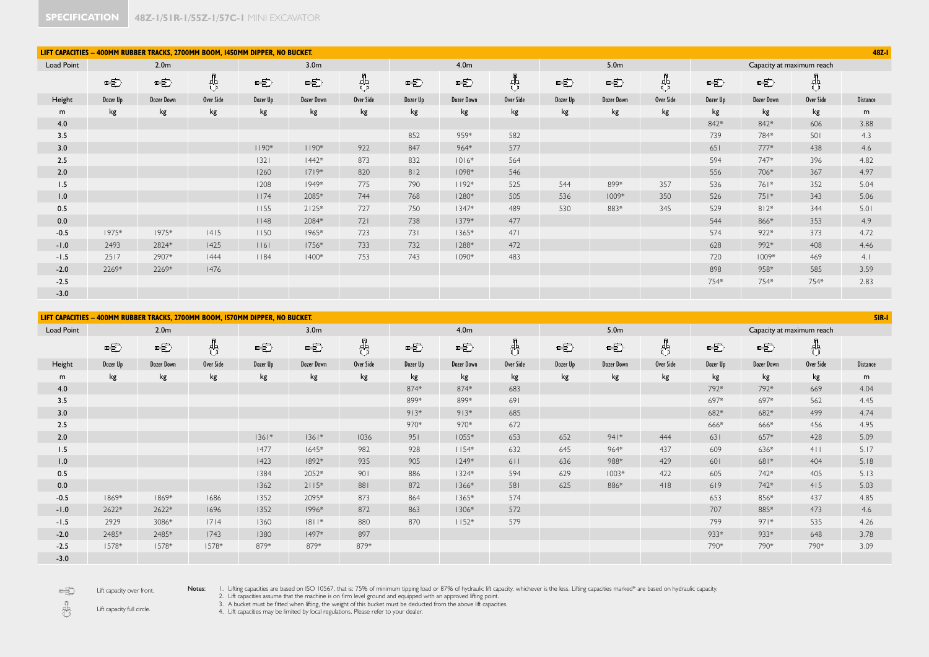| 48Z-I<br>LIFT CAPACITIES - 400MM RUBBER TRACKS, 2700MM BOOM, 1450MM DIPPER, NO BUCKET. |          |                  |           |                   |                  |           |          |                   |           |               |                                                                                                                                                                                                                                                                                                                                                     |           |          |            |                           |                 |
|----------------------------------------------------------------------------------------|----------|------------------|-----------|-------------------|------------------|-----------|----------|-------------------|-----------|---------------|-----------------------------------------------------------------------------------------------------------------------------------------------------------------------------------------------------------------------------------------------------------------------------------------------------------------------------------------------------|-----------|----------|------------|---------------------------|-----------------|
| Load Point                                                                             |          | 2.0 <sub>m</sub> |           |                   | 3.0 <sub>m</sub> |           |          | 4.0 <sub>m</sub>  |           |               | 5.0 <sub>m</sub>                                                                                                                                                                                                                                                                                                                                    |           |          |            | Capacity at maximum reach |                 |
|                                                                                        | 中        | 中                | 용         | 中                 | 中                | 용         | 中        | 中                 | ╬         | $\Rightarrow$ | $\begin{picture}(20,20) \put(0,0){\line(1,0){10}} \put(15,0){\line(1,0){10}} \put(15,0){\line(1,0){10}} \put(15,0){\line(1,0){10}} \put(15,0){\line(1,0){10}} \put(15,0){\line(1,0){10}} \put(15,0){\line(1,0){10}} \put(15,0){\line(1,0){10}} \put(15,0){\line(1,0){10}} \put(15,0){\line(1,0){10}} \put(15,0){\line(1,0){10}} \put(15,0){\line(1$ | 용         | 中        |            | 齿                         |                 |
| Height                                                                                 | Dozer Up | Dozer Down       | Over Side | Dozer Up          | Dozer Down       | Over Side | Dozer Up | <b>Dozer Down</b> | Over Side | Dozer Up      | <b>Dozer Down</b>                                                                                                                                                                                                                                                                                                                                   | Over Side | Dozer Up | Dozer Down | Over Side                 | <b>Distance</b> |
| m                                                                                      | kg       | kg               | kg        | kg                | kg               | kg        | kg       | kg                | kg        | kg            | kg                                                                                                                                                                                                                                                                                                                                                  | kg        | kg       | kg         | kg                        | m               |
| 4.0                                                                                    |          |                  |           |                   |                  |           |          |                   |           |               |                                                                                                                                                                                                                                                                                                                                                     |           | 842*     | 842*       | 606                       | 3.88            |
| 3.5                                                                                    |          |                  |           |                   |                  |           | 852      | 959*              | 582       |               |                                                                                                                                                                                                                                                                                                                                                     |           | 739      | 784*       | 501                       | 4.3             |
| 3.0                                                                                    |          |                  |           | $1190*$           | $1190*$          | 922       | 847      | 964*              | 577       |               |                                                                                                                                                                                                                                                                                                                                                     |           | 651      | $777*$     | 438                       | 4.6             |
| 2.5                                                                                    |          |                  |           | $1321$            | $1442*$          | 873       | 832      | $1016*$           | 564       |               |                                                                                                                                                                                                                                                                                                                                                     |           | 594      | 747*       | 396                       | 4.82            |
| 2.0                                                                                    |          |                  |           | 1260              | $1719*$          | 820       | 812      | $1098*$           | 546       |               |                                                                                                                                                                                                                                                                                                                                                     |           | 556      | 706*       | 367                       | 4.97            |
| 1.5                                                                                    |          |                  |           | 1208              | 1949*            | 775       | 790      | $1192*$           | 525       | 544           | 899*                                                                                                                                                                                                                                                                                                                                                | 357       | 536      | 761*       | 352                       | 5.04            |
| 1.0                                                                                    |          |                  |           | 1174              | 2085*            | 744       | 768      | $1280*$           | 505       | 536           | $1009*$                                                                                                                                                                                                                                                                                                                                             | 350       | 526      | $751*$     | 343                       | 5.06            |
| 0.5                                                                                    |          |                  |           | 1155              | $2125*$          | 727       | 750      | $1347*$           | 489       | 530           | 883*                                                                                                                                                                                                                                                                                                                                                | 345       | 529      | $812*$     | 344                       | 5.01            |
| 0.0                                                                                    |          |                  |           | $ $   48          | 2084*            | 721       | 738      | $1379*$           | 477       |               |                                                                                                                                                                                                                                                                                                                                                     |           | 544      | 866*       | 353                       | 4.9             |
| $-0.5$                                                                                 | $1975*$  | 1975*            | 4 5       | 1150              | 1965*            | 723       | 731      | $1365*$           | 471       |               |                                                                                                                                                                                                                                                                                                                                                     |           | 574      | 922*       | 373                       | 4.72            |
| $-1.0$                                                                                 | 2493     | 2824*            | 1425      | $ $ $ $ $ $ 6 $ $ | 1756*            | 733       | 732      | 1288*             | 472       |               |                                                                                                                                                                                                                                                                                                                                                     |           | 628      | 992*       | 408                       | 4.46            |
| $-1.5$                                                                                 | 2517     | 2907*            | 444       | 1184              | $1400*$          | 753       | 743      | $1090*$           | 483       |               |                                                                                                                                                                                                                                                                                                                                                     |           | 720      | 1009*      | 469                       | 4.1             |
| $-2.0$                                                                                 | 2269*    | 2269*            | 1476      |                   |                  |           |          |                   |           |               |                                                                                                                                                                                                                                                                                                                                                     |           | 898      | 958*       | 585                       | 3.59            |
| $-2.5$                                                                                 |          |                  |           |                   |                  |           |          |                   |           |               |                                                                                                                                                                                                                                                                                                                                                     |           | 754*     | 754*       | 754*                      | 2.83            |
| $-3.0$                                                                                 |          |                  |           |                   |                  |           |          |                   |           |               |                                                                                                                                                                                                                                                                                                                                                     |           |          |            |                           |                 |

|            | LIFT CAPACITIES - 400MM RUBBER TRACKS, 2700MM BOOM, I570MM DIPPER, NO BUCKET.<br><b>5IR-1</b> |                   |           |          |                   |           |          |                   |           |          |                  |           |          |                   |                           |                 |
|------------|-----------------------------------------------------------------------------------------------|-------------------|-----------|----------|-------------------|-----------|----------|-------------------|-----------|----------|------------------|-----------|----------|-------------------|---------------------------|-----------------|
| Load Point |                                                                                               | 2.0 <sub>m</sub>  |           |          | 3.0 <sub>m</sub>  |           |          | 4.0 <sub>m</sub>  |           |          | 5.0 <sub>m</sub> |           |          |                   | Capacity at maximum reach |                 |
|            | 电                                                                                             | 电                 | 茜         | 电        | 电                 | 贵         | 中        | 电                 | ₩         | 电        | 中                | 吿         | 电        | 电                 | 8                         |                 |
| Height     | Dozer Up                                                                                      | <b>Dozer Down</b> | Over Side | Dozer Up | <b>Dozer Down</b> | Over Side | Dozer Up | <b>Dozer Down</b> | Over Side | Dozer Up | Dozer Down       | Over Side | Dozer Up | <b>Dozer Down</b> | Over Side                 | <b>Distance</b> |
| m          | kg                                                                                            | kg                | kg        | kg       | kg                | kg        | kg       | kg                | kg        | kg       | kg               | kg        | kg       | kg                | kg                        | m               |
| 4.0        |                                                                                               |                   |           |          |                   |           | 874*     | 874*              | 683       |          |                  |           | 792*     | 792*              | 669                       | 4.04            |
| 3.5        |                                                                                               |                   |           |          |                   |           | 899*     | 899*              | 691       |          |                  |           | 697*     | 697*              | 562                       | 4.45            |
| 3.0        |                                                                                               |                   |           |          |                   |           | $913*$   | $913*$            | 685       |          |                  |           | 682*     | 682*              | 499                       | 4.74            |
| 2.5        |                                                                                               |                   |           |          |                   |           | 970*     | 970*              | 672       |          |                  |           | 666*     | 666*              | 456                       | 4.95            |
| 2.0        |                                                                                               |                   |           | $1361*$  | $1361*$           | 1036      | 951      | $1055*$           | 653       | 652      | $941*$           | 444       | 631      | 657*              | 428                       | 5.09            |
| 1.5        |                                                                                               |                   |           | 1477     | $1645*$           | 982       | 928      | $1154*$           | 632       | 645      | 964*             | 437       | 609      | 636*              | $4$                       | 5.17            |
| 1.0        |                                                                                               |                   |           | 1423     | 1892*             | 935       | 905      | $1249*$           | 611       | 636      | 988*             | 429       | 601      | 681*              | 404                       | 5.18            |
| 0.5        |                                                                                               |                   |           | 1384     | 2052*             | 901       | 886      | $1324*$           | 594       | 629      | $1003*$          | 422       | 605      | 742*              | 405                       | 5.13            |
| 0.0        |                                                                                               |                   |           | 1362     | $2115*$           | 881       | 872      | 1366*             | 581       | 625      | 886*             | 418       | 619      | 742*              | 415                       | 5.03            |
| $-0.5$     | 1869*                                                                                         | 1869*             | 1686      | 1352     | 2095*             | 873       | 864      | $1365*$           | 574       |          |                  |           | 653      | 856*              | 437                       | 4.85            |
| $-1.0$     | 2622*                                                                                         | 2622*             | 1696      | 1352     | 1996*             | 872       | 863      | 1306*             | 572       |          |                  |           | 707      | 885*              | 473                       | 4.6             |
| $-1.5$     | 2929                                                                                          | 3086*             | 7 4       | 1360     | $ 8 1$ *          | 880       | 870      | $1152*$           | 579       |          |                  |           | 799      | $971*$            | 535                       | 4.26            |
| $-2.0$     | 2485*                                                                                         | 2485*             | 1743      | 1380     | $1497*$           | 897       |          |                   |           |          |                  |           | 933*     | 933*              | 648                       | 3.78            |
| $-2.5$     | 1578*                                                                                         | 1578*             | 1578*     | 879*     | 879*              | 879*      |          |                   |           |          |                  |           | 790*     | 790*              | 790*                      | 3.09            |
| $-3.0$     |                                                                                               |                   |           |          |                   |           |          |                   |           |          |                  |           |          |                   |                           |                 |

电 Lift capacity over front.

Notes: I. Lifting capacities are based on ISO 10567, that is: 75% of minimum tipping load or 87% of hydraulic lift capacity, whichever is the less. Lifting capacities marked\* are based on hydraulic capacity.<br>2. Lift capaci

Lift capacity full circle.

 $\frac{1}{\sqrt{2}}$